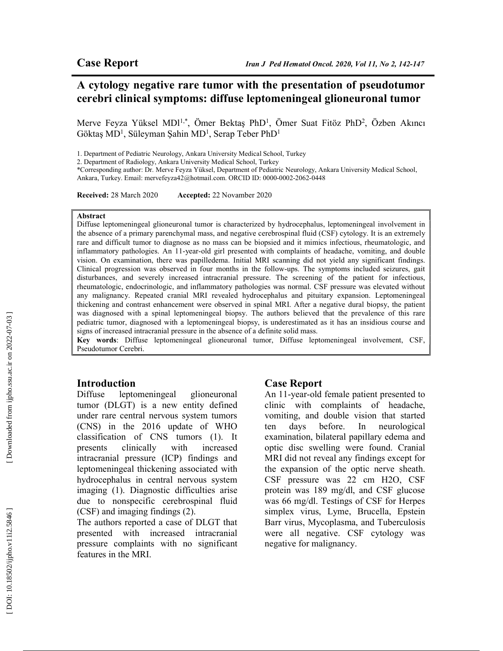## A cytology negative rare tumor with the presentation of pseudotumor cerebri clinical symptoms: diffuse leptomeningeal glioneuronal tumor

Merve Feyza Yüksel MDl<sup>1,\*</sup>, Ömer Bektaş PhD<sup>1</sup>, Ömer Suat Fitöz PhD<sup>2</sup>, Özben Akıncı Göktaş MD<sup>1</sup>, Süleyman Şahin MD<sup>1</sup>, Serap Teber PhD<sup>1</sup>

1. Department of Pediatric Neurology, Ankara University Medical School, Turkey

2. Department of Radiology, Ankara University Medical School, Turkey

\*Corresponding author: Dr. Merve Feyza Yüksel, Department of Pediatric Neurology, Ankara University Medical School, Ankara, Turkey. Email: mervefeyza42@hotmail.com. ORCID ID: 0000-0002-2062-0448

Received: 28 March 2020 Accepted: 22 Novamber 2020

#### Abstract

Diffuse leptomeningeal glioneuronal tumor is characterized by hydrocephalus, leptomeningeal involvement in the absence of a primary parenchymal mass, and negative cerebrospinal fluid (CSF) cytology. It is an extremely rare and difficult tumor to diagnose as no mass can be biopsied and it mimics infectious, rheumatologic, and inflammatory pathologies. An 11-year-old girl presented with complaints of headache, vomiting, and double vision. On examination, there was papilledema. Initial MRI scanning did not yield any significant findings. Clinical progression was observed in four months in the follow-ups. The symptoms included seizures, gait disturbances, and severely increased intracranial pressure. The screening of the patient for infectious, rheumatologic, endocrinologic, and inflammatory pathologies was normal. CSF pressure was elevated without any malignancy. Repeated cranial MRI revealed hydrocephalus and pituitary expansion. Leptomeningeal thickening and contrast enhancement were observed in spinal MRI. After a negative dural biopsy, the patient was diagnosed with a spinal leptomeningeal biopsy. The authors believed that the prevalence of this rare pediatric tumor, diagnosed with a leptomeningeal biopsy, is underestimated as it has an insidious course and signs of increased intracranial pressure in the absence of a definite solid mass.

Key words: Diffuse leptomeningeal glioneuronal tumor, Diffuse leptomeningeal involvement, CSF, Pseudotumor Cerebri.

#### Introduction

Diffuse leptomeningeal glioneuronal tumor (DLGT) is a new entity defined under rare central nervous system tumors (CNS) in the 2016 update of WHO classification of CNS tumors (1). It presents clinically with increased intracranial pressure (ICP) findings and leptomeningeal thickening associated with hydrocephalus in central nervous system imaging (1). Diagnostic difficulties arise due to nonspecific cerebrospinal fluid (CSF) and imaging findings (2).

The authors reported a case of DLGT that presented with increased intracranial pressure complaints with no significant features in the MRI.

## Case Report

An 11-year-old female patient presented to clinic with complaints of headache, vomiting, and double vision that started ten days before. In neurological examination, bilateral papillary edema and optic disc swelling were found. Cranial MRI did not reveal any findings except for the expansion of the optic nerve sheath. CSF pressure was 22 cm H2O, CSF protein was 189 mg/dl, and CSF glucose was 66 mg/dl. Testings of CSF for Herpes simplex virus, Lyme, Brucella, Epstein Barr virus, Mycoplasma, and Tuberculosis were all negative. CSF cytology was negative for malignancy.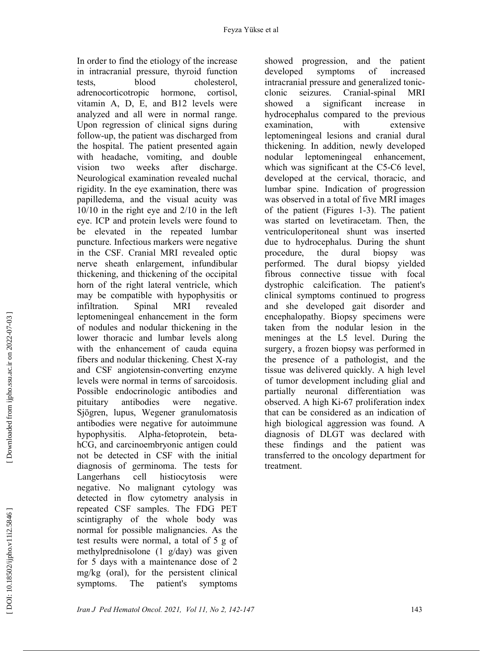In order to find the etiology of the increase in intracranial pressure, thyroid function tests, blood cholesterol, adrenocorticotropic hormone, cortisol, vitamin A, D, E, and B12 levels were analyzed and all were in normal range. Upon regression of clinical signs during follow-up, the patient was discharged from the hospital. The patient presented again with headache, vomiting, and double vision two weeks after discharge. Neurological examination revealed nuchal rigidity. In the eye examination, there was papilledema, and the visual acuity was 10/10 in the right eye and 2/10 in the left eye. ICP and protein levels were found to be elevated in the repeated lumbar puncture. Infectious markers were negative in the CSF. Cranial MRI revealed optic nerve sheath enlargement, infundibular thickening, and thickening of the occipital horn of the right lateral ventricle, which may be compatible with hypophysitis or infiltration. Spinal MRI revealed leptomeningeal enhancement in the form of nodules and nodular thickening in the lower thoracic and lumbar levels along with the enhancement of cauda equina fibers and nodular thickening. Chest X-ray and CSF angiotensin-converting enzyme levels were normal in terms of sarcoidosis. Possible endocrinologic antibodies and pituitary antibodies were negative. Sjögren, lupus, Wegener granulomatosis antibodies were negative for autoimmune hypophysitis. Alpha-fetoprotein, betahCG, and carcinoembryonic antigen could not be detected in CSF with the initial diagnosis of germinoma. The tests for Langerhans cell histiocytosis were negative. No malignant cytology was detected in flow cytometry analysis in repeated CSF samples. The FDG PET scintigraphy of the whole body was normal for possible malignancies. As the test results were normal, a total of 5 g of methylprednisolone (1 g/day) was given for 5 days with a maintenance dose of 2 mg/kg (oral), for the persistent clinical symptoms. The patient's symptoms

showed progression, and the patient developed symptoms of increased intracranial pressure and generalized tonicclonic seizures. Cranial-spinal MRI showed a significant increase in hydrocephalus compared to the previous examination, with extensive leptomeningeal lesions and cranial dural thickening. In addition, newly developed nodular leptomeningeal enhancement, which was significant at the C5-C6 level, developed at the cervical, thoracic, and lumbar spine. Indication of progression was observed in a total of five MRI images of the patient (Figures 1-3). The patient was started on levetiracetam. Then, the ventriculoperitoneal shunt was inserted due to hydrocephalus. During the shunt procedure, the dural biopsy was performed. The dural biopsy yielded fibrous connective tissue with focal dystrophic calcification. The patient's clinical symptoms continued to progress and she developed gait disorder and encephalopathy. Biopsy specimens were taken from the nodular lesion in the meninges at the L5 level. During the surgery, a frozen biopsy was performed in the presence of a pathologist, and the tissue was delivered quickly. A high level of tumor development including glial and partially neuronal differentiation was observed. A high Ki-67 proliferation index that can be considered as an indication of high biological aggression was found. A diagnosis of DLGT was declared with these findings and the patient was transferred to the oncology department for treatment.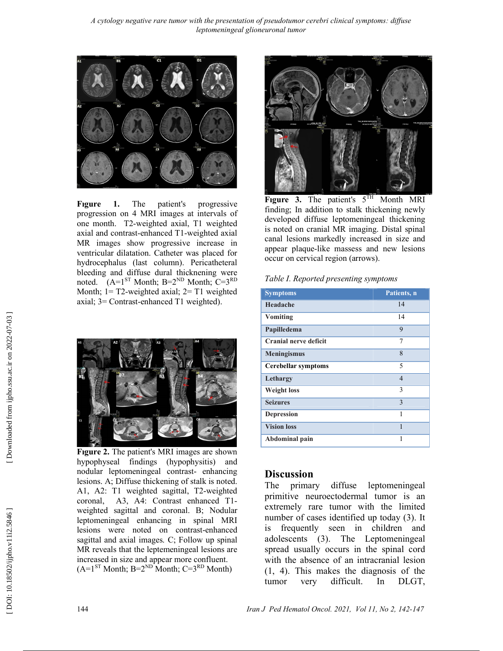A cytology negative rare tumor with the presentation of pseudotumor cerebri clinical symptoms: diffuse leptomeningeal glioneuronal tumor



Fıgure 1. The patient's progressive progression on 4 MRI images at intervals of one month. T2-weighted axial, T1 weighted axial and contrast-enhanced T1-weighted axial MR images show progressive increase in ventricular dilatation. Catheter was placed for hydrocephalus (last column). Pericatheteral bleeding and diffuse dural thicknening were noted.  $(A=1<sup>ST</sup> \text{Month}; B=2<sup>ND</sup> \text{Month}; C=3<sup>RD</sup>$ Month; 1= T2-weighted axial; 2= T1 weighted axial; 3= Contrast-enhanced T1 weighted).



Fıgure 2. The patient's MRI images are shown hypophyseal findings (hypophysitis) and nodular leptomeningeal contrast- enhancing lesions. A; Diffuse thickening of stalk is noted. A1, A2: T1 weighted sagittal, T2-weighted coronal, A3, A4: Contrast enhanced T1 weighted sagittal and coronal. B; Nodular leptomeningeal enhancing in spinal MRI lesions were noted on contrast-enhanced sagittal and axial images. C; Follow up spinal MR reveals that the leptemeningeal lesions are increased in size and appear more confluent.  $(A=1<sup>ST</sup> \text{Month}; B=2<sup>ND</sup> \text{Month}; C=3<sup>RD</sup> \text{Month})$ 



Figure 3. The patient's  $5<sup>TH</sup>$  Month MRI finding; In addition to stalk thickening newly developed diffuse leptomeningeal thickening is noted on cranial MR imaging. Distal spinal canal lesions markedly increased in size and appear plaque-like massess and new lesions occur on cervical region (arrows).

| Table I. Reported presenting symptoms |
|---------------------------------------|
|---------------------------------------|

| <b>Symptoms</b>              | Patients, n    |
|------------------------------|----------------|
| Headache                     | 14             |
| Vomiting                     | 14             |
| Papilledema                  | 9              |
| <b>Cranial nerve deficit</b> | 7              |
| <b>Meningismus</b>           | 8              |
| <b>Cerebellar symptoms</b>   | 5              |
| Lethargy                     | $\overline{4}$ |
| <b>Weight loss</b>           | 3              |
| <b>Seizures</b>              | 3              |
| <b>Depression</b>            | 1              |
| <b>Vision loss</b>           | 1              |
| Abdominal pain               | 1              |

#### **Discussion**

The primary diffuse leptomeningeal primitive neuroectodermal tumor is an extremely rare tumor with the limited number of cases identified up today (3). It is frequently seen in children and adolescents (3). The Leptomeningeal spread usually occurs in the spinal cord with the absence of an intracranial lesion (1, 4). This makes the diagnosis of the tumor very difficult. In DLGT,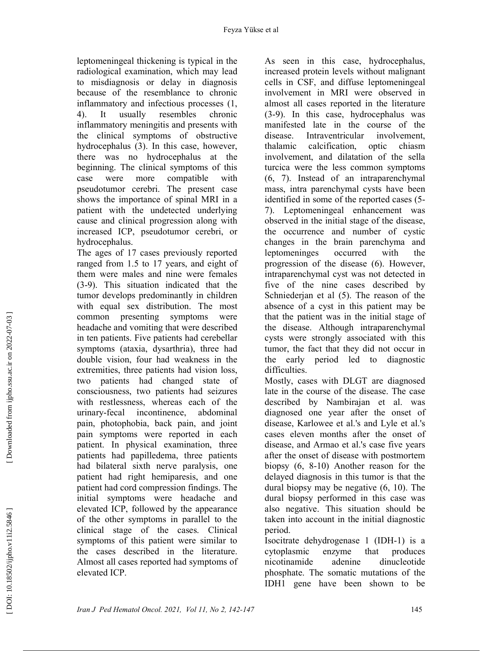leptomeningeal thickening is typical in the radiological examination, which may lead to misdiagnosis or delay in diagnosis because of the resemblance to chronic inflammatory and infectious processes (1, 4). It usually resembles chronic inflammatory meningitis and presents with the clinical symptoms of obstructive hydrocephalus (3). In this case, however, there was no hydrocephalus at the beginning. The clinical symptoms of this case were more compatible with pseudotumor cerebri. The present case shows the importance of spinal MRI in a patient with the undetected underlying cause and clinical progression along with increased ICP, pseudotumor cerebri, or hydrocephalus.

The ages of 17 cases previously reported ranged from 1.5 to 17 years, and eight of them were males and nine were females (3-9). This situation indicated that the tumor develops predominantly in children with equal sex distribution. The most common presenting symptoms were headache and vomiting that were described in ten patients. Five patients had cerebellar symptoms (ataxia, dysarthria), three had double vision, four had weakness in the extremities, three patients had vision loss, two patients had changed state of consciousness, two patients had seizures with restlessness, whereas each of the urinary-fecal incontinence, abdominal pain, photophobia, back pain, and joint pain symptoms were reported in each patient. In physical examination, three patients had papilledema, three patients had bilateral sixth nerve paralysis, one patient had right hemiparesis, and one patient had cord compression findings. The initial symptoms were headache and elevated ICP, followed by the appearance of the other symptoms in parallel to the clinical stage of the cases. Clinical symptoms of this patient were similar to the cases described in the literature. Almost all cases reported had symptoms of elevated ICP.

As seen in this case, hydrocephalus, increased protein levels without malignant cells in CSF, and diffuse leptomeningeal involvement in MRI were observed in almost all cases reported in the literature (3-9). In this case, hydrocephalus was manifested late in the course of the disease. Intraventricular involvement, thalamic calcification, optic chiasm involvement, and dilatation of the sella turcica were the less common symptoms (6, 7). Instead of an intraparenchymal mass, intra parenchymal cysts have been identified in some of the reported cases (5- 7). Leptomeningeal enhancement was observed in the initial stage of the disease, the occurrence and number of cystic changes in the brain parenchyma and leptomeninges occurred with the progression of the disease (6). However, intraparenchymal cyst was not detected in five of the nine cases described by Schniederjan et al (5). The reason of the absence of a cyst in this patient may be that the patient was in the initial stage of the disease. Although intraparenchymal cysts were strongly associated with this tumor, the fact that they did not occur in the early period led to diagnostic difficulties.

Mostly, cases with DLGT are diagnosed late in the course of the disease. The case described by Nambirajan et al. was diagnosed one year after the onset of disease, Karlowee et al.'s and Lyle et al.'s cases eleven months after the onset of disease, and Armao et al.'s case five years after the onset of disease with postmortem biopsy (6, 8-10) Another reason for the delayed diagnosis in this tumor is that the dural biopsy may be negative (6, 10). The dural biopsy performed in this case was also negative. This situation should be taken into account in the initial diagnostic period.

Isocitrate dehydrogenase 1 (IDH-1) is a cytoplasmic enzyme that produces nicotinamide adenine dinucleotide phosphate. The somatic mutations of the IDH1 gene have been shown to be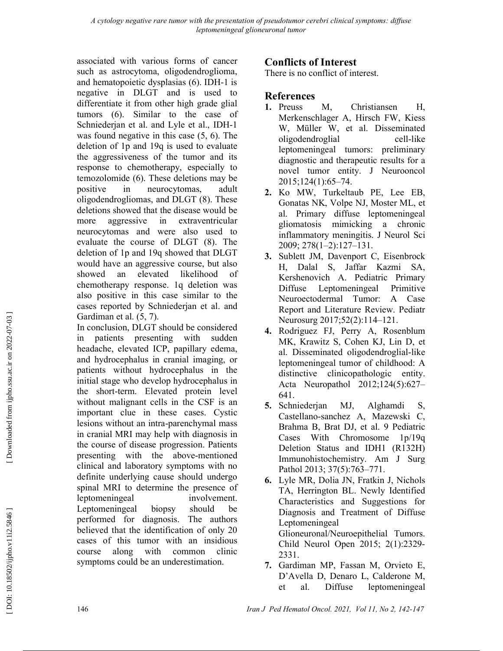associated with various forms of cancer such as astrocytoma, oligodendroglioma, and hematopoietic dysplasias (6). IDH-1 is negative in DLGT and is used to differentiate it from other high grade glial tumors (6). Similar to the case of Schniederjan et al. and Lyle et al., IDH-1 was found negative in this case (5, 6). The deletion of 1p and 19q is used to evaluate the aggressiveness of the tumor and its response to chemotherapy, especially to temozolomide (6). These deletions may be positive in neurocytomas, adult oligodendrogliomas, and DLGT (8). These deletions showed that the disease would be more aggressive in extraventricular neurocytomas and were also used to evaluate the course of DLGT (8). The deletion of 1p and 19q showed that DLGT would have an aggressive course, but also showed an elevated likelihood of chemotherapy response. 1q deletion was also positive in this case similar to the cases reported by Schniederjan et al. and Gardiman et al. (5, 7).

In conclusion, DLGT should be considered in patients presenting with sudden headache, elevated ICP, papillary edema, and hydrocephalus in cranial imaging, or patients without hydrocephalus in the initial stage who develop hydrocephalus in the short-term. Elevated protein level without malignant cells in the CSF is an important clue in these cases. Cystic lesions without an intra-parenchymal mass in cranial MRI may help with diagnosis in the course of disease progression. Patients presenting with the above-mentioned clinical and laboratory symptoms with no definite underlying cause should undergo spinal MRI to determine the presence of leptomeningeal involvement. Leptomeningeal biopsy should be performed for diagnosis. The authors believed that the identification of only 20 cases of this tumor with an insidious course along with common clinic symptoms could be an underestimation.

# Conflicts of Interest

There is no conflict of interest.

## References

- 1. Preuss M, Christiansen H, Merkenschlager A, Hirsch FW, Kiess W, Müller W, et al. Disseminated oligodendroglial cell-like leptomeningeal tumors: preliminary diagnostic and therapeutic results for a novel tumor entity. J Neurooncol 2015;124(1):65–74.
- 2. Ko MW, Turkeltaub PE, Lee EB, Gonatas NK, Volpe NJ, Moster ML, et al. Primary diffuse leptomeningeal gliomatosis mimicking a chronic inflammatory meningitis. J Neurol Sci 2009; 278(1–2):127–131.
- 3. Sublett JM, Davenport C, Eisenbrock H, Dalal S, Jaffar Kazmi SA, Kershenovich A. Pediatric Primary Diffuse Leptomeningeal Primitive Neuroectodermal Tumor: A Case Report and Literature Review. Pediatr Neurosurg 2017;52(2):114–121.
- 4. Rodriguez FJ, Perry A, Rosenblum MK, Krawitz S, Cohen KJ, Lin D, et al. Disseminated oligodendroglial-like leptomeningeal tumor of childhood: A distinctive clinicopathologic entity. Acta Neuropathol 2012;124(5):627– 641.
- 5. Schniederjan MJ, Alghamdi S, Castellano-sanchez A, Mazewski C, Brahma B, Brat DJ, et al. 9 Pediatric Cases With Chromosome 1p/19q Deletion Status and IDH1 (R132H) Immunohistochemistry. Am J Surg Pathol 2013; 37(5):763-771.
- 6. Lyle MR, Dolia JN, Fratkin J, Nichols TA, Herrington BL. Newly Identified Characteristics and Suggestions for Diagnosis and Treatment of Diffuse Leptomeningeal Glioneuronal/Neuroepithelial Tumors. Child Neurol Open 2015; 2(1):2329- 2331.
- 7. Gardiman MP, Fassan M, Orvieto E, D'Avella D, Denaro L, Calderone M, et al. Diffuse leptomeningeal